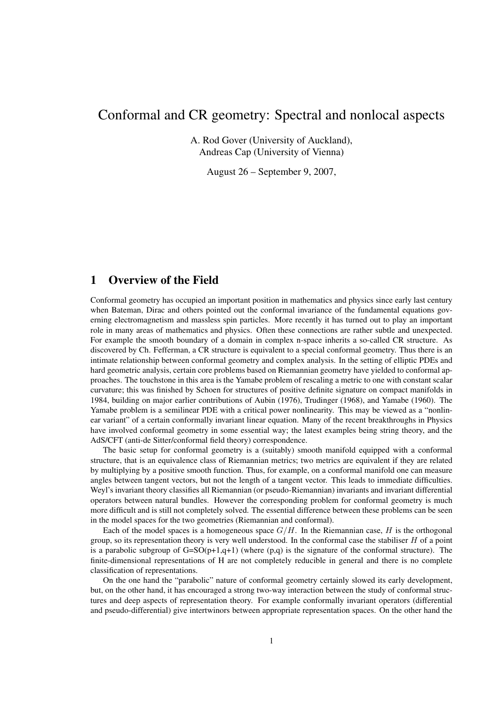# Conformal and CR geometry: Spectral and nonlocal aspects

A. Rod Gover (University of Auckland), Andreas Cap (University of Vienna)

August 26 – September 9, 2007,

# 1 Overview of the Field

Conformal geometry has occupied an important position in mathematics and physics since early last century when Bateman, Dirac and others pointed out the conformal invariance of the fundamental equations governing electromagnetism and massless spin particles. More recently it has turned out to play an important role in many areas of mathematics and physics. Often these connections are rather subtle and unexpected. For example the smooth boundary of a domain in complex n-space inherits a so-called CR structure. As discovered by Ch. Fefferman, a CR structure is equivalent to a special conformal geometry. Thus there is an intimate relationship between conformal geometry and complex analysis. In the setting of elliptic PDEs and hard geometric analysis, certain core problems based on Riemannian geometry have yielded to conformal approaches. The touchstone in this area is the Yamabe problem of rescaling a metric to one with constant scalar curvature; this was finished by Schoen for structures of positive definite signature on compact manifolds in 1984, building on major earlier contributions of Aubin (1976), Trudinger (1968), and Yamabe (1960). The Yamabe problem is a semilinear PDE with a critical power nonlinearity. This may be viewed as a "nonlinear variant" of a certain conformally invariant linear equation. Many of the recent breakthroughs in Physics have involved conformal geometry in some essential way; the latest examples being string theory, and the AdS/CFT (anti-de Sitter/conformal field theory) correspondence.

The basic setup for conformal geometry is a (suitably) smooth manifold equipped with a conformal structure, that is an equivalence class of Riemannian metrics; two metrics are equivalent if they are related by multiplying by a positive smooth function. Thus, for example, on a conformal manifold one can measure angles between tangent vectors, but not the length of a tangent vector. This leads to immediate difficulties. Weyl's invariant theory classifies all Riemannian (or pseudo-Riemannian) invariants and invariant differential operators between natural bundles. However the corresponding problem for conformal geometry is much more difficult and is still not completely solved. The essential difference between these problems can be seen in the model spaces for the two geometries (Riemannian and conformal).

Each of the model spaces is a homogeneous space  $G/H$ . In the Riemannian case, H is the orthogonal group, so its representation theory is very well understood. In the conformal case the stabiliser  $H$  of a point is a parabolic subgroup of G=SO(p+1,q+1) (where (p,q) is the signature of the conformal structure). The finite-dimensional representations of H are not completely reducible in general and there is no complete classification of representations.

On the one hand the "parabolic" nature of conformal geometry certainly slowed its early development, but, on the other hand, it has encouraged a strong two-way interaction between the study of conformal structures and deep aspects of representation theory. For example conformally invariant operators (differential and pseudo-differential) give intertwinors between appropriate representation spaces. On the other hand the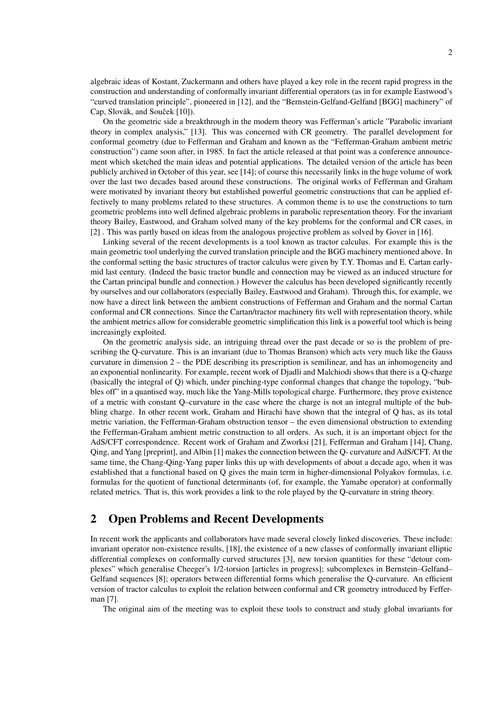algebraic ideas of Kostant, Zuckermann and others have played a key role in the recent rapid progress in the construction and understanding of conformally invariant differential operators (as in for example Eastwood's "curved translation principle", pioneered in [12], and the "Bernstein-Gelfand-Gelfand [BGG] machinery" of Cap, Slovák, and Souček  $[10]$ ).

On the geometric side a breakthrough in the modern theory was Fefferman's article "Parabolic invariant theory in complex analysis," [13]. This was concerned with CR geometry. The parallel development for conformal geometry (due to Fefferman and Graham and known as the "Fefferman-Graham ambient metric construction") came soon after, in 1985. In fact the article released at that point was a conference announcement which sketched the main ideas and potential applications. The detailed version of the article has been publicly archived in October of this year, see [14]; of course this necessarily links in the huge volume of work over the last two decades based around these constructions. The original works of Fefferman and Graham were motivated by invariant theory but established powerful geometric constructions that can be applied effectively to many problems related to these structures. A common theme is to use the constructions to turn geometric problems into well defined algebraic problems in parabolic representation theory. For the invariant theory Bailey, Eastwood, and Graham solved many of the key problems for the conformal and CR cases, in [2] . This was partly based on ideas from the analogous projective problem as solved by Gover in [16].

Linking several of the recent developments is a tool known as tractor calculus. For example this is the main geometric tool underlying the curved translation principle and the BGG machinery mentioned above. In the conformal setting the basic structures of tractor calculus were given by T.Y. Thomas and E. Cartan earlymid last century. (Indeed the basic tractor bundle and connection may be viewed as an induced structure for the Cartan principal bundle and connection.) However the calculus has been developed significantly recently by ourselves and our collaborators (especially Bailey, Eastwood and Graham). Through this, for example, we now have a direct link between the ambient constructions of Fefferman and Graham and the normal Cartan conformal and CR connections. Since the Cartan/tractor machinery fits well with representation theory, while the ambient metrics allow for considerable geometric simplification this link is a powerful tool which is being increasingly exploited.

On the geometric analysis side, an intriguing thread over the past decade or so is the problem of prescribing the Q-curvature. This is an invariant (due to Thomas Branson) which acts very much like the Gauss curvature in dimension 2 – the PDE describing its prescription is semilinear, and has an inhomogeneity and an exponential nonlinearity. For example, recent work of Djadli and Malchiodi shows that there is a Q-charge (basically the integral of Q) which, under pinching-type conformal changes that change the topology, "bubbles off" in a quantised way, much like the Yang-Mills topological charge. Furthermore, they prove existence of a metric with constant Q–curvature in the case where the charge is not an integral multiple of the bubbling charge. In other recent work, Graham and Hirachi have shown that the integral of Q has, as its total metric variation, the Fefferman-Graham obstruction tensor – the even dimensional obstruction to extending the Fefferman-Graham ambient metric construction to all orders. As such, it is an important object for the AdS/CFT correspondence. Recent work of Graham and Zworksi [21], Fefferman and Graham [14], Chang, Qing, and Yang [preprint], and Albin [1] makes the connection between the Q- curvature and AdS/CFT. At the same time, the Chang-Qing-Yang paper links this up with developments of about a decade ago, when it was established that a functional based on Q gives the main term in higher-dimensional Polyakov formulas, i.e. formulas for the quotient of functional determinants (of, for example, the Yamabe operator) at conformally related metrics. That is, this work provides a link to the role played by the Q-curvature in string theory.

## 2 Open Problems and Recent Developments

In recent work the applicants and collaborators have made several closely linked discoveries. These include: invariant operator non-existence results, [18], the existence of a new classes of conformally invariant elliptic differential complexes on conformally curved structures [3], new torsion quantities for these "detour complexes" which generalise Cheeger's 1/2-torsion [articles in progress]; subcomplexes in Bernstein–Gelfand– Gelfand sequences [8]; operators between differential forms which generalise the Q-curvature. An efficient version of tractor calculus to exploit the relation between conformal and CR geometry introduced by Fefferman [7].

The original aim of the meeting was to exploit these tools to construct and study global invariants for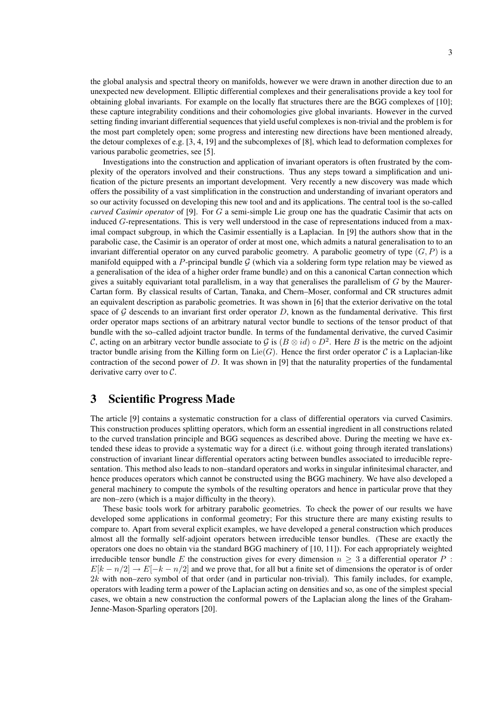the global analysis and spectral theory on manifolds, however we were drawn in another direction due to an unexpected new development. Elliptic differential complexes and their generalisations provide a key tool for obtaining global invariants. For example on the locally flat structures there are the BGG complexes of [10]; these capture integrability conditions and their cohomologies give global invariants. However in the curved setting finding invariant differential sequences that yield useful complexes is non-trivial and the problem is for the most part completely open; some progress and interesting new directions have been mentioned already, the detour complexes of e.g. [3, 4, 19] and the subcomplexes of [8], which lead to deformation complexes for various parabolic geometries, see [5].

Investigations into the construction and application of invariant operators is often frustrated by the complexity of the operators involved and their constructions. Thus any steps toward a simplification and unification of the picture presents an important development. Very recently a new discovery was made which offers the possibility of a vast simplification in the construction and understanding of invariant operators and so our activity focussed on developing this new tool and and its applications. The central tool is the so-called *curved Casimir operator* of [9]. For G a semi-simple Lie group one has the quadratic Casimir that acts on induced G-representations. This is very well understood in the case of representations induced from a maximal compact subgroup, in which the Casimir essentially is a Laplacian. In [9] the authors show that in the parabolic case, the Casimir is an operator of order at most one, which admits a natural generalisation to to an invariant differential operator on any curved parabolic geometry. A parabolic geometry of type  $(G, P)$  is a manifold equipped with a P-principal bundle  $\mathcal G$  (which via a soldering form type relation may be viewed as a generalisation of the idea of a higher order frame bundle) and on this a canonical Cartan connection which gives a suitably equivariant total parallelism, in a way that generalises the parallelism of  $G$  by the Maurer-Cartan form. By classical results of Cartan, Tanaka, and Chern–Moser, conformal and CR structures admit an equivalent description as parabolic geometries. It was shown in [6] that the exterior derivative on the total space of  $G$  descends to an invariant first order operator D, known as the fundamental derivative. This first order operator maps sections of an arbitrary natural vector bundle to sections of the tensor product of that bundle with the so–called adjoint tractor bundle. In terms of the fundamental derivative, the curved Casimir C, acting on an arbitrary vector bundle associate to G is  $(B \otimes id) \circ D^2$ . Here B is the metric on the adjoint tractor bundle arising from the Killing form on  $Lie(G)$ . Hence the first order operator C is a Laplacian-like contraction of the second power of D. It was shown in [9] that the naturality properties of the fundamental derivative carry over to C.

#### 3 Scientific Progress Made

The article [9] contains a systematic construction for a class of differential operators via curved Casimirs. This construction produces splitting operators, which form an essential ingredient in all constructions related to the curved translation principle and BGG sequences as described above. During the meeting we have extended these ideas to provide a systematic way for a direct (i.e. without going through iterated translations) construction of invariant linear differential operators acting between bundles associated to irreducible representation. This method also leads to non–standard operators and works in singular infinitesimal character, and hence produces operators which cannot be constructed using the BGG machinery. We have also developed a general machinery to compute the symbols of the resulting operators and hence in particular prove that they are non–zero (which is a major difficulty in the theory).

These basic tools work for arbitrary parabolic geometries. To check the power of our results we have developed some applications in conformal geometry; For this structure there are many existing results to compare to. Apart from several explicit examples, we have developed a general construction which produces almost all the formally self-adjoint operators between irreducible tensor bundles. (These are exactly the operators one does no obtain via the standard BGG machinery of [10, 11]). For each appropriately weighted irreducible tensor bundle E the construction gives for every dimension  $n \geq 3$  a differential operator P:  $E[k - n/2] \rightarrow E[-k - n/2]$  and we prove that, for all but a finite set of dimensions the operator is of order 2k with non–zero symbol of that order (and in particular non-trivial). This family includes, for example, operators with leading term a power of the Laplacian acting on densities and so, as one of the simplest special cases, we obtain a new construction the conformal powers of the Laplacian along the lines of the Graham-Jenne-Mason-Sparling operators [20].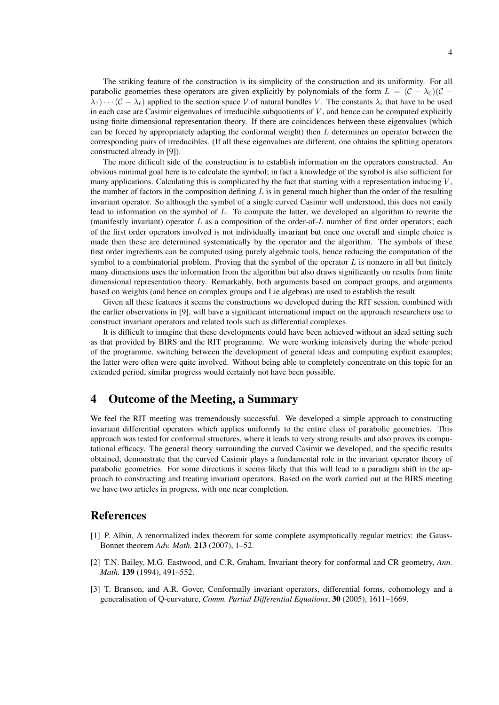4

The striking feature of the construction is its simplicity of the construction and its uniformity. For all parabolic geometries these operators are given explicitly by polynomials of the form  $L = (\mathcal{C} - \lambda_0)(\mathcal{C} - \lambda_0)$  $(\lambda_1)\cdots(\mathcal{C}-\lambda_\ell)$  applied to the section space V of natural bundles V. The constants  $\lambda_i$  that have to be used in each case are Casimir eigenvalues of irreducible subquotients of  $V$ , and hence can be computed explicitly using finite dimensional representation theory. If there are coincidences between these eigenvalues (which can be forced by appropriately adapting the conformal weight) then  $L$  determines an operator between the corresponding pairs of irreducibles. (If all these eigenvalues are different, one obtains the splitting operators constructed already in [9]).

The more difficult side of the construction is to establish information on the operators constructed. An obvious minimal goal here is to calculate the symbol; in fact a knowledge of the symbol is also sufficient for many applications. Calculating this is complicated by the fact that starting with a representation inducing  $V$ , the number of factors in the composition defining  $L$  is in general much higher than the order of the resulting invariant operator. So although the symbol of a single curved Casimir well understood, this does not easily lead to information on the symbol of L. To compute the latter, we developed an algorithm to rewrite the (manifestly invariant) operator  $L$  as a composition of the order-of- $L$  number of first order operators; each of the first order operators involved is not individually invariant but once one overall and simple choice is made then these are determined systematically by the operator and the algorithm. The symbols of these first order ingredients can be computed using purely algebraic tools, hence reducing the computation of the symbol to a combinatorial problem. Proving that the symbol of the operator  $L$  is nonzero in all but finitely many dimensions uses the information from the algorithm but also draws significantly on results from finite dimensional representation theory. Remarkably, both arguments based on compact groups, and arguments based on weights (and hence on complex groups and Lie algebras) are used to establish the result.

Given all these features it seems the constructions we developed during the RIT session, combined with the earlier observations in [9], will have a significant international impact on the approach researchers use to construct invariant operators and related tools such as differential complexes.

It is difficult to imagine that these developments could have been achieved without an ideal setting such as that provided by BIRS and the RIT programme. We were working intensively during the whole period of the programme, switching between the development of general ideas and computing explicit examples; the latter were often were quite involved. Without being able to completely concentrate on this topic for an extended period, similar progress would certainly not have been possible.

## 4 Outcome of the Meeting, a Summary

We feel the RIT meeting was tremendously successful. We developed a simple approach to constructing invariant differential operators which applies uniformly to the entire class of parabolic geometries. This approach was tested for conformal structures, where it leads to very strong results and also proves its computational efficacy. The general theory surrounding the curved Casimir we developed, and the specific results obtained, demonstrate that the curved Casimir plays a fundamental role in the invariant operator theory of parabolic geometries. For some directions it seems likely that this will lead to a paradigm shift in the approach to constructing and treating invariant operators. Based on the work carried out at the BIRS meeting we have two articles in progress, with one near completion.

#### References

- [1] P. Albin, A renormalized index theorem for some complete asymptotically regular metrics: the Gauss-Bonnet theorem *Adv. Math.* 213 (2007), 1–52.
- [2] T.N. Bailey, M.G. Eastwood, and C.R. Graham, Invariant theory for conformal and CR geometry, *Ann. Math.* 139 (1994), 491–552.
- [3] T. Branson, and A.R. Gover, Conformally invariant operators, differential forms, cohomology and a generalisation of Q-curvature, *Comm. Partial Differential Equations*, 30 (2005), 1611–1669.